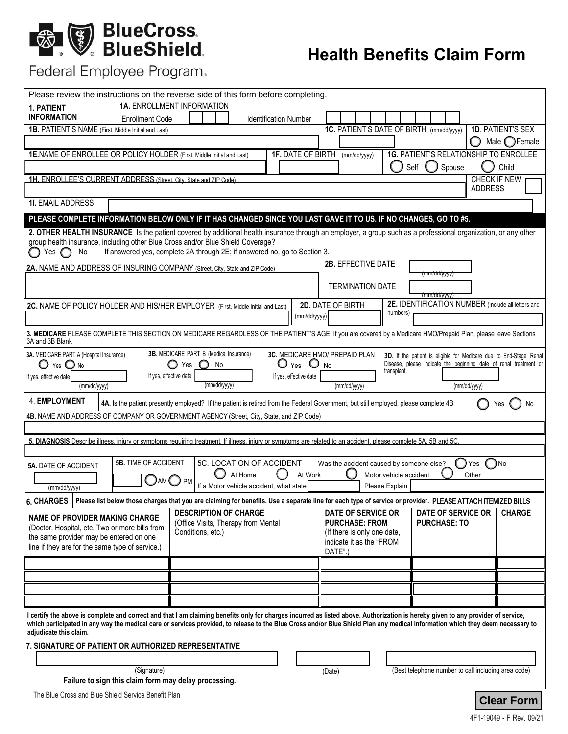# **BlueCross.**<br>BlueShield.

# **Health Benefits Claim Form**

# Federal Employee Program.

| Please review the instructions on the reverse side of this form before completing                                                                                                                                                                                                                                                                                  |                                                    |
|--------------------------------------------------------------------------------------------------------------------------------------------------------------------------------------------------------------------------------------------------------------------------------------------------------------------------------------------------------------------|----------------------------------------------------|
| <b>1A. ENROLLMENT INFORMATION</b><br>1. PATIENT                                                                                                                                                                                                                                                                                                                    |                                                    |
| <b>INFORMATION</b><br><b>Enrollment Code</b><br><b>Identification Number</b>                                                                                                                                                                                                                                                                                       |                                                    |
| 1C. PATIENT'S DATE OF BIRTH (mm/dd/yyyy)<br>1B. PATIENT'S NAME (First, Middle Initial and Last)                                                                                                                                                                                                                                                                    | <b>1D. PATIENT'S SEX</b><br>Male $\bigcirc$ Female |
| 1E.NAME OF ENROLLEE OR POLICY HOLDER (First, Middle Initial and Last)<br><b>1F. DATE OF BIRTH</b><br><b>1G. PATIENT'S RELATIONSHIP TO ENROLLEE</b>                                                                                                                                                                                                                 | Ο                                                  |
| (mm/dd/yyyy)<br>Spouse<br>Self                                                                                                                                                                                                                                                                                                                                     | Child                                              |
| 1H. ENROLLEE'S CURRENT ADDRESS (Street. City. State and ZIP Code)                                                                                                                                                                                                                                                                                                  | CHECK IF NEW                                       |
|                                                                                                                                                                                                                                                                                                                                                                    | <b>ADDRESS</b>                                     |
| <b>1I. EMAIL ADDRESS</b>                                                                                                                                                                                                                                                                                                                                           |                                                    |
| PLEASE COMPLETE INFORMATION BELOW ONLY IF IT HAS CHANGED SINCE YOU LAST GAVE IT TO US. IF NO CHANGES, GO TO #5.                                                                                                                                                                                                                                                    |                                                    |
| 2. OTHER HEALTH INSURANCE Is the patient covered by additional health insurance through an employer, a group such as a professional organization, or any other<br>group health insurance, including other Blue Cross and/or Blue Shield Coverage?                                                                                                                  |                                                    |
| If answered yes, complete 2A through 2E; if answered no, go to Section 3.<br>No<br>Yes $\bigcap$                                                                                                                                                                                                                                                                   |                                                    |
| 2B. EFFECTIVE DATE<br>2A. NAME AND ADDRESS OF INSURING COMPANY (Street, City, State and ZIP Code)                                                                                                                                                                                                                                                                  |                                                    |
| (mm/dd/yyyy)                                                                                                                                                                                                                                                                                                                                                       |                                                    |
| <b>TERMINATION DATE</b><br>(mm/dd/yyyy)                                                                                                                                                                                                                                                                                                                            |                                                    |
| 2E. IDENTIFICATION NUMBER (Include all letters and<br>2D. DATE OF BIRTH<br>2C. NAME OF POLICY HOLDER AND HIS/HER EMPLOYER (First, Middle Initial and Last)                                                                                                                                                                                                         |                                                    |
| numbers)<br>(mm/dd/yyyy)                                                                                                                                                                                                                                                                                                                                           |                                                    |
| 3. MEDICARE PLEASE COMPLETE THIS SECTION ON MEDICARE REGARDLESS OF THE PATIENT'S AGE If you are covered by a Medicare HMO/Prepaid Plan, please leave Sections<br>3A and 3B Blank                                                                                                                                                                                   |                                                    |
| 3B. MEDICARE PART B (Medical Insurance)<br>3C. MEDICARE HMO/ PREPAID PLAN<br>3A. MEDICARE PART A (Hospital Insurance)<br>3D. If the patient is eligible for Medicare due to End-Stage Renal                                                                                                                                                                        |                                                    |
| Disease, please indicate the beginning date of renal treatment or<br>$O$ Yes $O$ No<br>$\bigcirc$ Yes $\bigcirc$ No<br>$\circ$<br>Yes<br>No<br>transplant.                                                                                                                                                                                                         |                                                    |
| If yes, effective date<br>If yes, effective date<br>If yes, effective date<br>(mm/dd/yyyy)<br>(mm/dd/yyyy)<br>(mm/dd/yyyy)                                                                                                                                                                                                                                         |                                                    |
|                                                                                                                                                                                                                                                                                                                                                                    | (mm/dd/yyyy)                                       |
| 4. EMPLOYMENT<br>4A. Is the patient presently employed? If the patient is retired from the Federal Government, but still employed, please complete 4B                                                                                                                                                                                                              | No<br>Yes                                          |
|                                                                                                                                                                                                                                                                                                                                                                    |                                                    |
| 4B. NAME AND ADDRESS OF COMPANY OR GOVERNMENT AGENCY (Street, City, State, and ZIP Code)                                                                                                                                                                                                                                                                           |                                                    |
|                                                                                                                                                                                                                                                                                                                                                                    |                                                    |
| 5. DIAGNOSIS Describe illness, injury or symptoms requiring treatment. If illness, injury or symptoms are related to an accident, please complete 5A, 5B and 5C.                                                                                                                                                                                                   |                                                    |
| <b>5B. TIME OF ACCIDENT</b><br>5C. LOCATION OF ACCIDENT                                                                                                                                                                                                                                                                                                            | ( )No<br>Yes                                       |
| Was the accident caused by someone else?<br><b>5A. DATE OF ACCIDENT</b><br>At Home<br>At Work<br>Motor vehicle accident                                                                                                                                                                                                                                            | Other                                              |
| $\bigcup$ am $\bigcup$ pm<br>If a Motor vehicle accident, what state<br>Please Explain<br>(mm/dd/yyyy)                                                                                                                                                                                                                                                             |                                                    |
| 6. CHARGES   Please list below those charges that you are claiming for benefits. Use a separate line for each type of service or provider. PLEASE ATTACH ITEMIZED BILLS                                                                                                                                                                                            |                                                    |
| <b>DATE OF SERVICE OR</b><br><b>DESCRIPTION OF CHARGE</b><br><b>DATE OF SERVICE OR</b>                                                                                                                                                                                                                                                                             | <b>CHARGE</b>                                      |
| <b>NAME OF PROVIDER MAKING CHARGE</b><br><b>PURCHASE: FROM</b><br><b>PURCHASE: TO</b><br>(Office Visits, Therapy from Mental<br>(Doctor, Hospital, etc. Two or more bills from                                                                                                                                                                                     |                                                    |
| Conditions, etc.)<br>(If there is only one date,<br>the same provider may be entered on one<br>indicate it as the "FROM                                                                                                                                                                                                                                            |                                                    |
| line if they are for the same type of service.)<br>DATE".)                                                                                                                                                                                                                                                                                                         |                                                    |
|                                                                                                                                                                                                                                                                                                                                                                    |                                                    |
|                                                                                                                                                                                                                                                                                                                                                                    |                                                    |
|                                                                                                                                                                                                                                                                                                                                                                    |                                                    |
|                                                                                                                                                                                                                                                                                                                                                                    |                                                    |
| I certify the above is complete and correct and that I am claiming benefits only for charges incurred as listed above. Authorization is hereby given to any provider of service,<br>which participated in any way the medical care or services provided, to release to the Blue Cross and/or Blue Shield Plan any medical information which they deem necessary to |                                                    |
| adjudicate this claim.                                                                                                                                                                                                                                                                                                                                             |                                                    |
| 7. SIGNATURE OF PATIENT OR AUTHORIZED REPRESENTATIVE                                                                                                                                                                                                                                                                                                               |                                                    |
| (Best telephone number to call including area code)<br>(Signature)<br>(Date)                                                                                                                                                                                                                                                                                       |                                                    |
| Failure to sign this claim form may delay processing.                                                                                                                                                                                                                                                                                                              |                                                    |